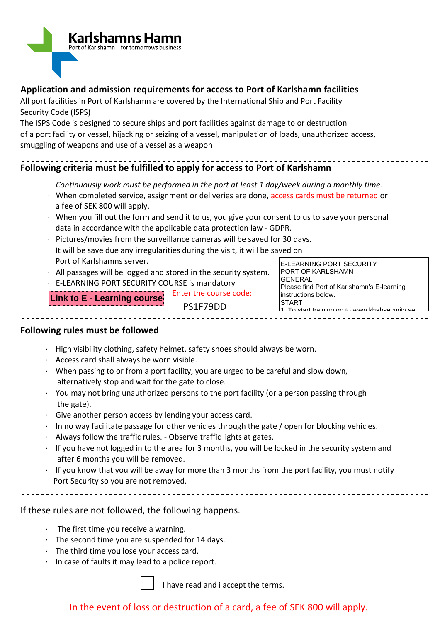

## **Application and admission requirements for access to Port of Karlshamn facilities**

All port facilities in Port of Karlshamn are covered by the International Ship and Port Facility Security Code (ISPS)

The ISPS Code is designed to secure ships and port facilities against damage to or destruction of a port facility or vessel, hijacking or seizing of a vessel, manipulation of loads, unauthorized access, smuggling of weapons and use of a vessel as a weapon

## **Following criteria must be fulfilled to apply for access to Port of Karlshamn**

- *· Continuously work must be performed in the port at least 1 day/week during a monthly time.*
- *·* When completed service, assignment or deliveries are done, access cards must be returned or a fee of SEK 800 will apply.
- *·* When you fill out the form and send it to us, you give your consent to us to save your personal data in accordance with the applicable data protection law - GDPR.
- *·* Pictures/movies from the surveillance cameras will be saved for 30 days. It will be save due any irregularities during the visit, it will be saved on Port of Karlshamns server.
- *·* All passages will be logged and stored in the security system.
- *·* E-LEARNING PORT SECURITY COURSE is mandatory

Enter the course code: PS1F79DD **Link to E - Learning course**

## **Following rules must be followed**

- $\cdot$  High visibility clothing, safety helmet, safety shoes should always be worn.
- · Access card shall always be worn visible.
- $\cdot$  When passing to or from a port facility, you are urged to be careful and slow down, alternatively stop and wait for the gate to close.
- accritatively step and that for the gate to slose.<br>• You may not bring unauthorized persons to the port facility (or a person passing through the gate). 1 person passing through
- · Give another person access by lending your access card.
- $\cdot$  In no way facilitate passage for other vehicles through the gate / open for blocking vehicles.
- $\cdot$  Always follow the traffic rules. Observe traffic lights at gates.
- · If you have not logged in to the area for 3 months, you will be locked in the security system and after 6 months you will be removed. cked in the security system and
- are: 8 months you will be removed:<br>In the you know that you will be away for more than 3 months from the port facility, you must notify Port Security so you are not removed. the port fac

If these rules are not followed, the following happens.

- The first time you receive a warning.
- · The second time you are suspended for 14 days.
- $\cdot$  The third time you lose your access card.
- · In case of faults it may lead to a police report.

I have read and i accept the terms.

## In the event of loss or destruction of a card, a fee of SEK 800 will apply.

E-LEARNING PORT SECURITY PORT OF KARLSHAMN **GENERAL** Please find Port of Karlshamn's E-learning instructions below. **START** 1. To start training go to www.khabsecurity.se

2. Each person must register prior must register prior to start the start the start the start the start the start th<br>The start the start the start the start the start the start the start the start the start the start the s